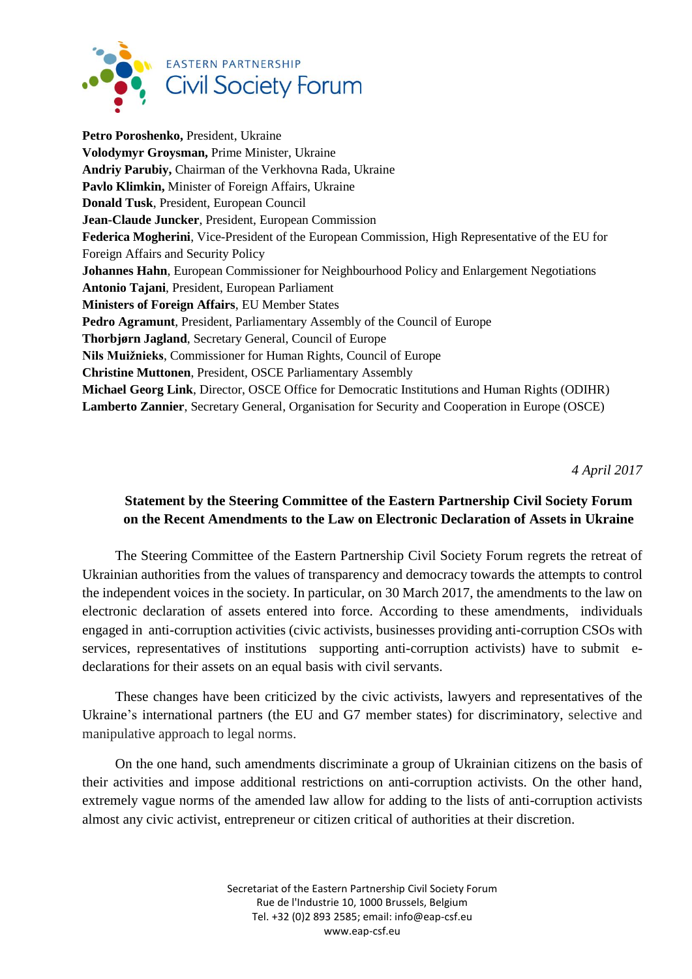

**Petro Poroshenko,** President, Ukraine **Volodymyr Groysman,** Prime Minister, Ukraine **Andriy Parubiy,** Chairman of the Verkhovna Rada, Ukraine **Pavlo Klimkin,** Minister of Foreign Affairs, Ukraine **Donald Tusk**, President, European Council **Jean-Claude Juncker**, President, European Commission **Federica Mogherini**, Vice-President of the European Commission, High Representative of the EU for Foreign Affairs and Security Policy **Johannes Hahn**, European Commissioner for Neighbourhood Policy and Enlargement Negotiations **Antonio Tajani**, President, European Parliament **Ministers of Foreign Affairs**, EU Member States **Pedro Agramunt**, President, Parliamentary Assembly of the Council of Europe **Thorbjørn Jagland**, Secretary General, Council of Europe **Nils Muižnieks**, Commissioner for Human Rights, Council of Europe **Christine Muttonen**, President, OSCE Parliamentary Assembly **Michael Georg Link**, Director, OSCE Office for Democratic Institutions and Human Rights (ODIHR) **Lamberto Zannier**, Secretary General, Organisation for Security and Cooperation in Europe (OSCE)

*4 April 2017*

## **Statement by the Steering Committee of the Eastern Partnership Civil Society Forum on the Recent Amendments to the Law on Electronic Declaration of Assets in Ukraine**

The Steering Committee of the Eastern Partnership Civil Society Forum regrets the retreat of Ukrainian authorities from the values of transparency and democracy towards the attempts to control the independent voices in the society. In particular, on 30 March 2017, the amendments to the law on electronic declaration of assets entered into force. According to these amendments, individuals engaged in anti-corruption activities (civic activists, businesses providing anti-corruption CSOs with services, representatives of institutions supporting anti-corruption activists) have to submit edeclarations for their assets on an equal basis with civil servants.

These changes have been criticized by the civic activists, lawyers and representatives of the Ukraine's international partners (the EU and G7 member states) for discriminatory, selective and manipulative approach to legal norms.

On the one hand, such amendments discriminate a group of Ukrainian citizens on the basis of their activities and impose additional restrictions on anti-corruption activists. On the other hand, extremely vague norms of the amended law allow for adding to the lists of anti-corruption activists almost any civic activist, entrepreneur or citizen critical of authorities at their discretion.